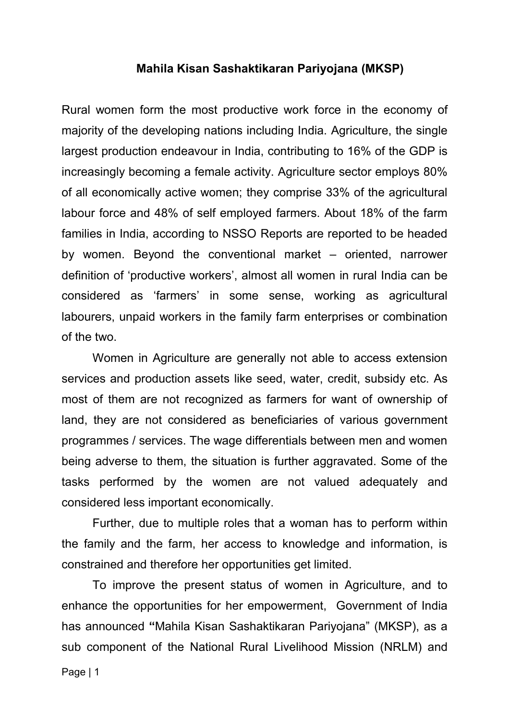#### **Mahila Kisan Sashaktikaran Pariyojana (MKSP)**

Rural women form the most productive work force in the economy of majority of the developing nations including India. Agriculture, the single largest production endeavour in India, contributing to 16% of the GDP is increasingly becoming a female activity. Agriculture sector employs 80% of all economically active women; they comprise 33% of the agricultural labour force and 48% of self employed farmers. About 18% of the farm families in India, according to NSSO Reports are reported to be headed by women. Beyond the conventional market – oriented, narrower definition of 'productive workers', almost all women in rural India can be considered as 'farmers' in some sense, working as agricultural labourers, unpaid workers in the family farm enterprises or combination of the two.

Women in Agriculture are generally not able to access extension services and production assets like seed, water, credit, subsidy etc. As most of them are not recognized as farmers for want of ownership of land, they are not considered as beneficiaries of various government programmes / services. The wage differentials between men and women being adverse to them, the situation is further aggravated. Some of the tasks performed by the women are not valued adequately and considered less important economically.

Further, due to multiple roles that a woman has to perform within the family and the farm, her access to knowledge and information, is constrained and therefore her opportunities get limited.

To improve the present status of women in Agriculture, and to enhance the opportunities for her empowerment, Government of India has announced **"**Mahila Kisan Sashaktikaran Pariyojana" (MKSP), as a sub component of the National Rural Livelihood Mission (NRLM) and Page | 1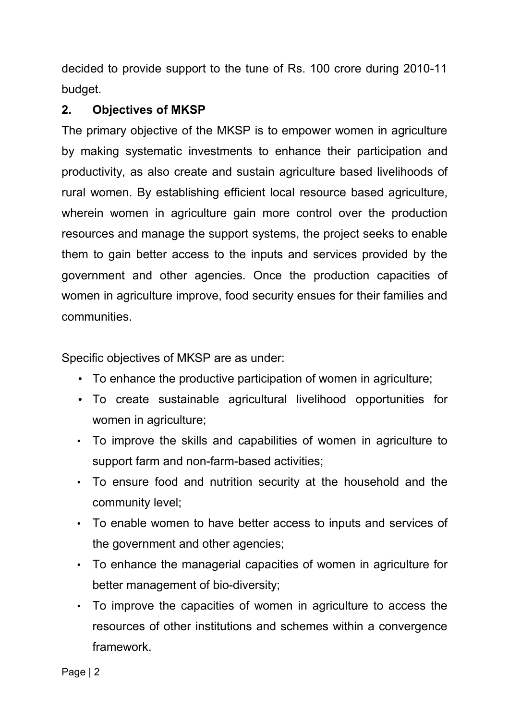decided to provide support to the tune of Rs. 100 crore during 2010-11 budget.

## **2. Objectives of MKSP**

The primary objective of the MKSP is to empower women in agriculture by making systematic investments to enhance their participation and productivity, as also create and sustain agriculture based livelihoods of rural women. By establishing efficient local resource based agriculture, wherein women in agriculture gain more control over the production resources and manage the support systems, the project seeks to enable them to gain better access to the inputs and services provided by the government and other agencies. Once the production capacities of women in agriculture improve, food security ensues for their families and communities.

Specific objectives of MKSP are as under:

- To enhance the productive participation of women in agriculture;
- To create sustainable agricultural livelihood opportunities for women in agriculture;
- To improve the skills and capabilities of women in agriculture to support farm and non-farm-based activities;
- To ensure food and nutrition security at the household and the community level;
- To enable women to have better access to inputs and services of the government and other agencies;
- To enhance the managerial capacities of women in agriculture for better management of bio-diversity;
- To improve the capacities of women in agriculture to access the resources of other institutions and schemes within a convergence framework.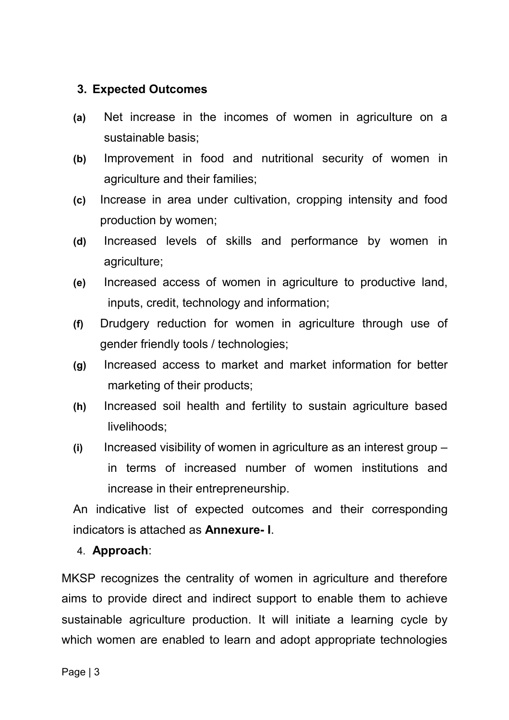#### **3. Expected Outcomes**

- **(a)** Net increase in the incomes of women in agriculture on a sustainable basis;
- **(b)** Improvement in food and nutritional security of women in agriculture and their families;
- **(c)** Increase in area under cultivation, cropping intensity and food production by women;
- **(d)** Increased levels of skills and performance by women in agriculture;
- **(e)** Increased access of women in agriculture to productive land, inputs, credit, technology and information;
- **(f)** Drudgery reduction for women in agriculture through use of gender friendly tools / technologies;
- **(g)** Increased access to market and market information for better marketing of their products;
- **(h)** Increased soil health and fertility to sustain agriculture based livelihoods;
- **(i)** Increased visibility of women in agriculture as an interest group in terms of increased number of women institutions and increase in their entrepreneurship.

An indicative list of expected outcomes and their corresponding indicators is attached as **Annexure- I**.

#### 4. **Approach**:

MKSP recognizes the centrality of women in agriculture and therefore aims to provide direct and indirect support to enable them to achieve sustainable agriculture production. It will initiate a learning cycle by which women are enabled to learn and adopt appropriate technologies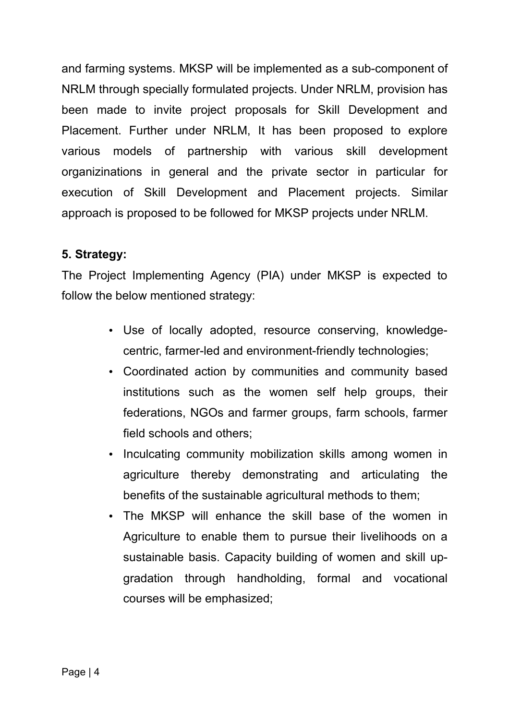and farming systems. MKSP will be implemented as a sub-component of NRLM through specially formulated projects. Under NRLM, provision has been made to invite project proposals for Skill Development and Placement. Further under NRLM, It has been proposed to explore various models of partnership with various skill development organizinations in general and the private sector in particular for execution of Skill Development and Placement projects. Similar approach is proposed to be followed for MKSP projects under NRLM.

### **5. Strategy:**

The Project Implementing Agency (PIA) under MKSP is expected to follow the below mentioned strategy:

- Use of locally adopted, resource conserving, knowledgecentric, farmer-led and environment-friendly technologies;
- Coordinated action by communities and community based institutions such as the women self help groups, their federations, NGOs and farmer groups, farm schools, farmer field schools and others;
- Inculcating community mobilization skills among women in agriculture thereby demonstrating and articulating the benefits of the sustainable agricultural methods to them;
- The MKSP will enhance the skill base of the women in Agriculture to enable them to pursue their livelihoods on a sustainable basis. Capacity building of women and skill upgradation through handholding, formal and vocational courses will be emphasized;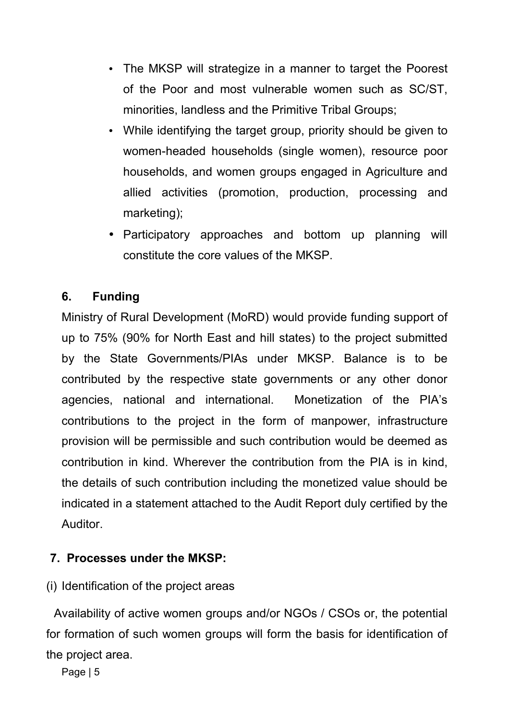- The MKSP will strategize in a manner to target the Poorest of the Poor and most vulnerable women such as SC/ST, minorities, landless and the Primitive Tribal Groups;
- While identifying the target group, priority should be given to women-headed households (single women), resource poor households, and women groups engaged in Agriculture and allied activities (promotion, production, processing and marketing);
- Participatory approaches and bottom up planning will constitute the core values of the MKSP.

## **6. Funding**

Ministry of Rural Development (MoRD) would provide funding support of up to 75% (90% for North East and hill states) to the project submitted by the State Governments/PIAs under MKSP. Balance is to be contributed by the respective state governments or any other donor agencies, national and international. Monetization of the PIA's contributions to the project in the form of manpower, infrastructure provision will be permissible and such contribution would be deemed as contribution in kind. Wherever the contribution from the PIA is in kind, the details of such contribution including the monetized value should be indicated in a statement attached to the Audit Report duly certified by the Auditor.

### **7. Processes under the MKSP:**

(i) Identification of the project areas

Availability of active women groups and/or NGOs / CSOs or, the potential for formation of such women groups will form the basis for identification of the project area.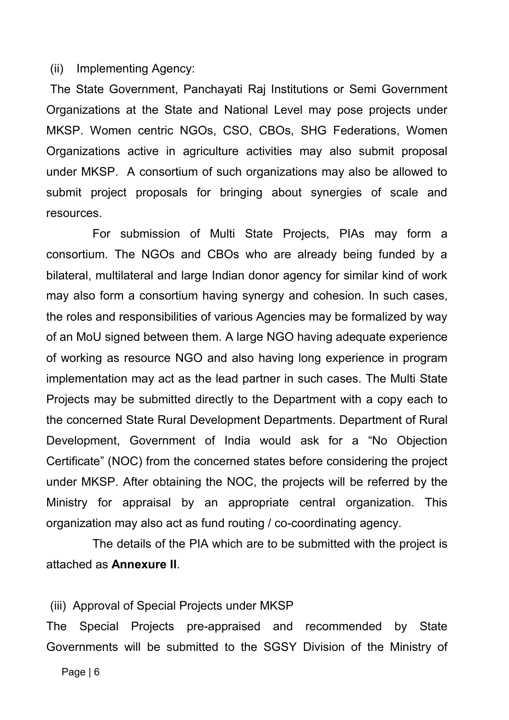#### (ii) Implementing Agency:

The State Government, Panchayati Raj Institutions or Semi Government Organizations at the State and National Level may pose projects under MKSP. Women centric NGOs, CSO, CBOs, SHG Federations, Women Organizations active in agriculture activities may also submit proposal under MKSP. A consortium of such organizations may also be allowed to submit project proposals for bringing about synergies of scale and resources.

For submission of Multi State Projects, PIAs may form a consortium. The NGOs and CBOs who are already being funded by a bilateral, multilateral and large Indian donor agency for similar kind of work may also form a consortium having synergy and cohesion. In such cases, the roles and responsibilities of various Agencies may be formalized by way of an MoU signed between them. A large NGO having adequate experience of working as resource NGO and also having long experience in program implementation may act as the lead partner in such cases. The Multi State Projects may be submitted directly to the Department with a copy each to the concerned State Rural Development Departments. Department of Rural Development, Government of India would ask for a "No Objection Certificate" (NOC) from the concerned states before considering the project under MKSP. After obtaining the NOC, the projects will be referred by the Ministry for appraisal by an appropriate central organization. This organization may also act as fund routing / co-coordinating agency.

The details of the PIA which are to be submitted with the project is attached as **Annexure II**.

#### (iii) Approval of Special Projects under MKSP

The Special Projects pre-appraised and recommended by State Governments will be submitted to the SGSY Division of the Ministry of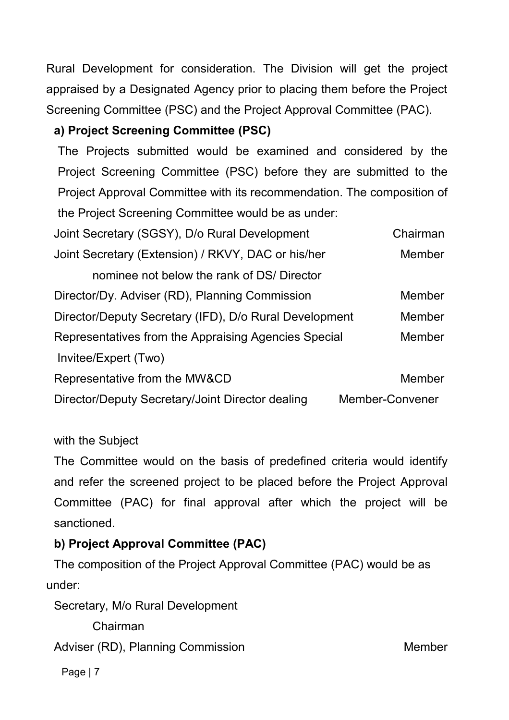Rural Development for consideration. The Division will get the project appraised by a Designated Agency prior to placing them before the Project Screening Committee (PSC) and the Project Approval Committee (PAC).

# **a) Project Screening Committee (PSC)**

The Projects submitted would be examined and considered by the Project Screening Committee (PSC) before they are submitted to the Project Approval Committee with its recommendation. The composition of the Project Screening Committee would be as under:

| Joint Secretary (SGSY), D/o Rural Development          | Chairman        |
|--------------------------------------------------------|-----------------|
| Joint Secretary (Extension) / RKVY, DAC or his/her     | <b>Member</b>   |
| nominee not below the rank of DS/ Director             |                 |
| Director/Dy. Adviser (RD), Planning Commission         | <b>Member</b>   |
| Director/Deputy Secretary (IFD), D/o Rural Development | <b>Member</b>   |
| Representatives from the Appraising Agencies Special   | Member          |
| Invitee/Expert (Two)                                   |                 |
| Representative from the MW&CD                          | <b>Member</b>   |
| Director/Deputy Secretary/Joint Director dealing       | Member-Convener |

### with the Subject

The Committee would on the basis of predefined criteria would identify and refer the screened project to be placed before the Project Approval Committee (PAC) for final approval after which the project will be sanctioned.

# **b) Project Approval Committee (PAC)**

The composition of the Project Approval Committee (PAC) would be as under:

Secretary, M/o Rural Development

Chairman

Adviser (RD), Planning Commission Member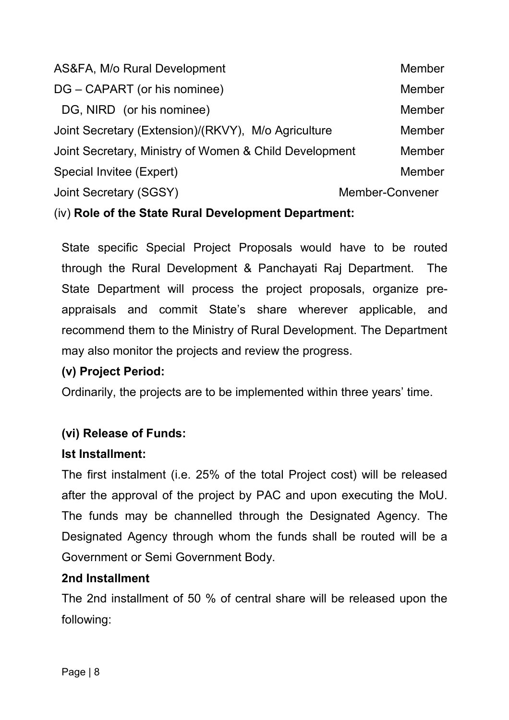| AS&FA, M/o Rural Development                           |                 | <b>Member</b> |
|--------------------------------------------------------|-----------------|---------------|
| DG – CAPART (or his nominee)                           |                 | <b>Member</b> |
| DG, NIRD (or his nominee)                              |                 | <b>Member</b> |
| Joint Secretary (Extension)/(RKVY), M/o Agriculture    |                 | <b>Member</b> |
| Joint Secretary, Ministry of Women & Child Development |                 | <b>Member</b> |
| Special Invitee (Expert)                               |                 | <b>Member</b> |
| Joint Secretary (SGSY)                                 | Member-Convener |               |
|                                                        |                 |               |

## (iv) **Role of the State Rural Development Department:**

State specific Special Project Proposals would have to be routed through the Rural Development & Panchayati Raj Department. The State Department will process the project proposals, organize preappraisals and commit State's share wherever applicable, and recommend them to the Ministry of Rural Development. The Department may also monitor the projects and review the progress.

### **(v) Project Period:**

Ordinarily, the projects are to be implemented within three years' time.

### **(vi) Release of Funds:**

#### **Ist Installment:**

The first instalment (i.e. 25% of the total Project cost) will be released after the approval of the project by PAC and upon executing the MoU. The funds may be channelled through the Designated Agency. The Designated Agency through whom the funds shall be routed will be a Government or Semi Government Body.

### **2nd Installment**

The 2nd installment of 50 % of central share will be released upon the following: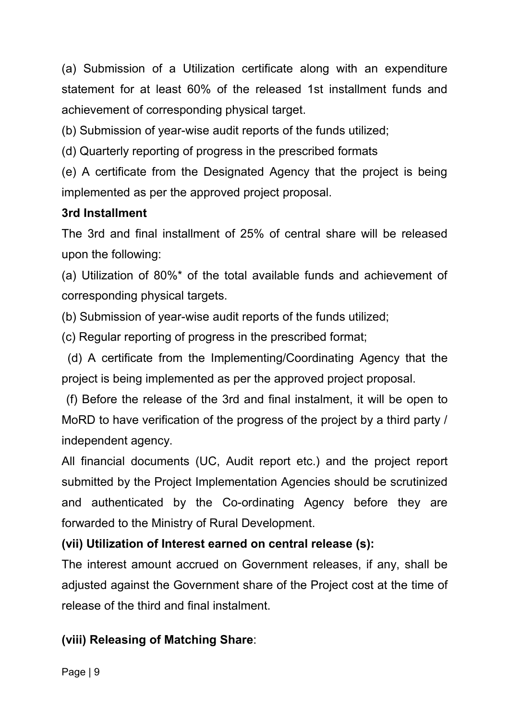(a) Submission of a Utilization certificate along with an expenditure statement for at least 60% of the released 1st installment funds and achievement of corresponding physical target.

(b) Submission of year-wise audit reports of the funds utilized;

(d) Quarterly reporting of progress in the prescribed formats

(e) A certificate from the Designated Agency that the project is being implemented as per the approved project proposal.

### **3rd Installment**

The 3rd and final installment of 25% of central share will be released upon the following:

(a) Utilization of 80%\* of the total available funds and achievement of corresponding physical targets.

(b) Submission of year-wise audit reports of the funds utilized;

(c) Regular reporting of progress in the prescribed format;

(d) A certificate from the Implementing/Coordinating Agency that the project is being implemented as per the approved project proposal.

 (f) Before the release of the 3rd and final instalment, it will be open to MoRD to have verification of the progress of the project by a third party / independent agency.

All financial documents (UC, Audit report etc.) and the project report submitted by the Project Implementation Agencies should be scrutinized and authenticated by the Co-ordinating Agency before they are forwarded to the Ministry of Rural Development.

### **(vii) Utilization of Interest earned on central release (s):**

The interest amount accrued on Government releases, if any, shall be adjusted against the Government share of the Project cost at the time of release of the third and final instalment.

# **(viii) Releasing of Matching Share**: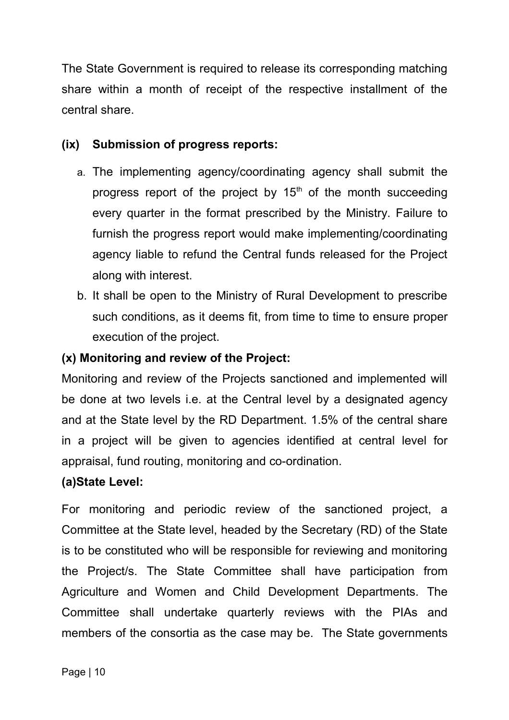The State Government is required to release its corresponding matching share within a month of receipt of the respective installment of the central share.

### **(ix) Submission of progress reports:**

- a. The implementing agency/coordinating agency shall submit the progress report of the project by  $15<sup>th</sup>$  of the month succeeding every quarter in the format prescribed by the Ministry. Failure to furnish the progress report would make implementing/coordinating agency liable to refund the Central funds released for the Project along with interest.
- b. It shall be open to the Ministry of Rural Development to prescribe such conditions, as it deems fit, from time to time to ensure proper execution of the project.

## **(x) Monitoring and review of the Project:**

Monitoring and review of the Projects sanctioned and implemented will be done at two levels i.e. at the Central level by a designated agency and at the State level by the RD Department. 1.5% of the central share in a project will be given to agencies identified at central level for appraisal, fund routing, monitoring and co-ordination.

### **(a)State Level:**

For monitoring and periodic review of the sanctioned project, a Committee at the State level, headed by the Secretary (RD) of the State is to be constituted who will be responsible for reviewing and monitoring the Project/s. The State Committee shall have participation from Agriculture and Women and Child Development Departments. The Committee shall undertake quarterly reviews with the PIAs and members of the consortia as the case may be. The State governments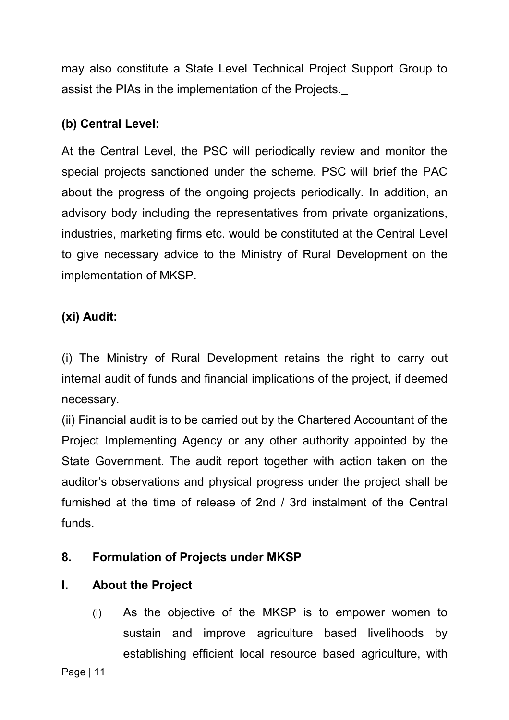may also constitute a State Level Technical Project Support Group to assist the PIAs in the implementation of the Projects.

## **(b) Central Level:**

At the Central Level, the PSC will periodically review and monitor the special projects sanctioned under the scheme. PSC will brief the PAC about the progress of the ongoing projects periodically. In addition, an advisory body including the representatives from private organizations, industries, marketing firms etc. would be constituted at the Central Level to give necessary advice to the Ministry of Rural Development on the implementation of MKSP.

## **(xi) Audit:**

(i) The Ministry of Rural Development retains the right to carry out internal audit of funds and financial implications of the project, if deemed necessary.

(ii) Financial audit is to be carried out by the Chartered Accountant of the Project Implementing Agency or any other authority appointed by the State Government. The audit report together with action taken on the auditor's observations and physical progress under the project shall be furnished at the time of release of 2nd / 3rd instalment of the Central funds.

# **8. Formulation of Projects under MKSP**

### **I. About the Project**

(i) As the objective of the MKSP is to empower women to sustain and improve agriculture based livelihoods by establishing efficient local resource based agriculture, with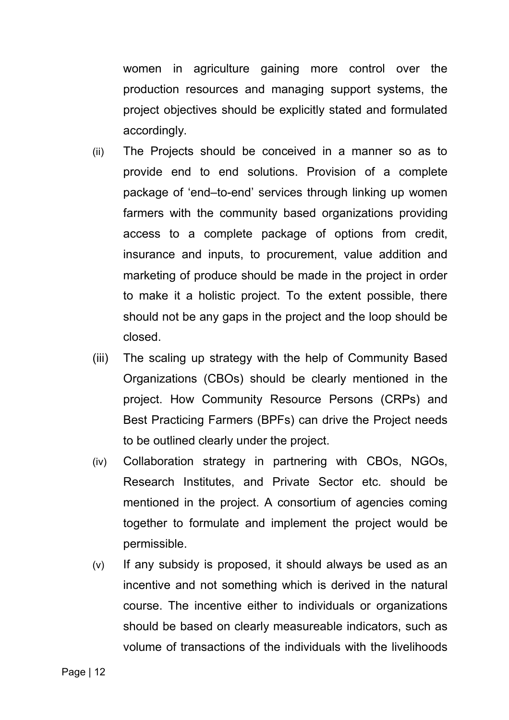women in agriculture gaining more control over the production resources and managing support systems, the project objectives should be explicitly stated and formulated accordingly.

- (ii) The Projects should be conceived in a manner so as to provide end to end solutions. Provision of a complete package of 'end–to-end' services through linking up women farmers with the community based organizations providing access to a complete package of options from credit, insurance and inputs, to procurement, value addition and marketing of produce should be made in the project in order to make it a holistic project. To the extent possible, there should not be any gaps in the project and the loop should be closed.
- (iii) The scaling up strategy with the help of Community Based Organizations (CBOs) should be clearly mentioned in the project. How Community Resource Persons (CRPs) and Best Practicing Farmers (BPFs) can drive the Project needs to be outlined clearly under the project.
- (iv) Collaboration strategy in partnering with CBOs, NGOs, Research Institutes, and Private Sector etc. should be mentioned in the project. A consortium of agencies coming together to formulate and implement the project would be permissible.
- (v) If any subsidy is proposed, it should always be used as an incentive and not something which is derived in the natural course. The incentive either to individuals or organizations should be based on clearly measureable indicators, such as volume of transactions of the individuals with the livelihoods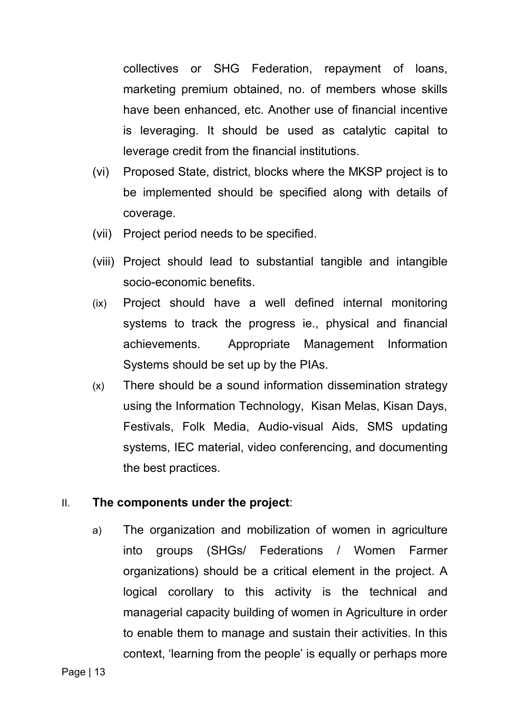collectives or SHG Federation, repayment of loans, marketing premium obtained, no. of members whose skills have been enhanced, etc. Another use of financial incentive is leveraging. It should be used as catalytic capital to leverage credit from the financial institutions.

- (vi) Proposed State, district, blocks where the MKSP project is to be implemented should be specified along with details of coverage.
- (vii) Project period needs to be specified.
- (viii) Project should lead to substantial tangible and intangible socio-economic benefits.
- (ix) Project should have a well defined internal monitoring systems to track the progress ie., physical and financial achievements. Appropriate Management Information Systems should be set up by the PIAs.
- (x) There should be a sound information dissemination strategy using the Information Technology, Kisan Melas, Kisan Days, Festivals, Folk Media, Audio-visual Aids, SMS updating systems, IEC material, video conferencing, and documenting the best practices.

#### II. **The components under the project**:

a) The organization and mobilization of women in agriculture into groups (SHGs/ Federations / Women Farmer organizations) should be a critical element in the project. A logical corollary to this activity is the technical and managerial capacity building of women in Agriculture in order to enable them to manage and sustain their activities. In this context, 'learning from the people' is equally or perhaps more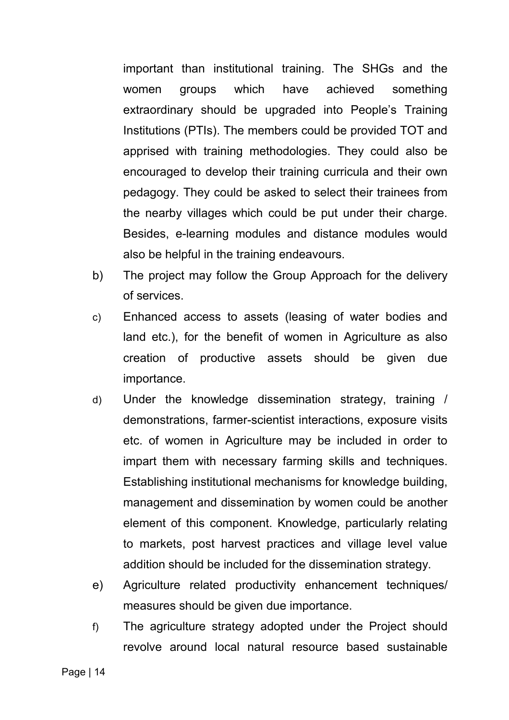important than institutional training. The SHGs and the women groups which have achieved something extraordinary should be upgraded into People's Training Institutions (PTIs). The members could be provided TOT and apprised with training methodologies. They could also be encouraged to develop their training curricula and their own pedagogy. They could be asked to select their trainees from the nearby villages which could be put under their charge. Besides, e-learning modules and distance modules would also be helpful in the training endeavours.

- b) The project may follow the Group Approach for the delivery of services.
- c) Enhanced access to assets (leasing of water bodies and land etc.), for the benefit of women in Agriculture as also creation of productive assets should be given due importance.
- d) Under the knowledge dissemination strategy, training / demonstrations, farmer-scientist interactions, exposure visits etc. of women in Agriculture may be included in order to impart them with necessary farming skills and techniques. Establishing institutional mechanisms for knowledge building, management and dissemination by women could be another element of this component. Knowledge, particularly relating to markets, post harvest practices and village level value addition should be included for the dissemination strategy.
- e) Agriculture related productivity enhancement techniques/ measures should be given due importance.
- f) The agriculture strategy adopted under the Project should revolve around local natural resource based sustainable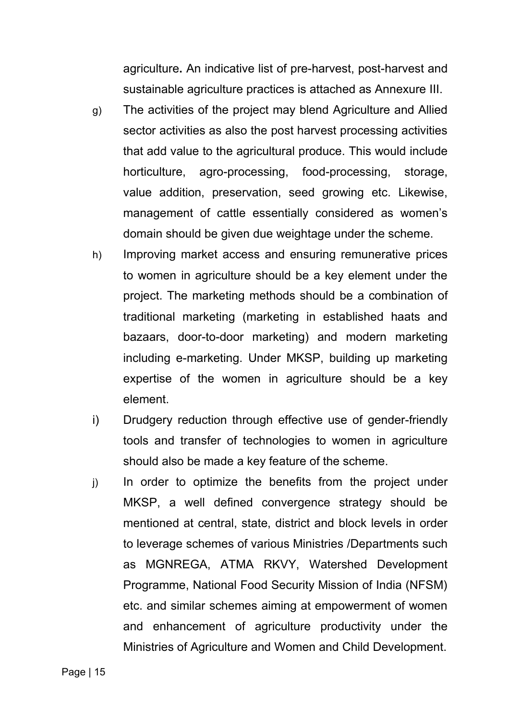agriculture**.** An indicative list of pre-harvest, post-harvest and sustainable agriculture practices is attached as Annexure III.

- g) The activities of the project may blend Agriculture and Allied sector activities as also the post harvest processing activities that add value to the agricultural produce. This would include horticulture, agro-processing, food-processing, storage, value addition, preservation, seed growing etc. Likewise, management of cattle essentially considered as women's domain should be given due weightage under the scheme.
- h) Improving market access and ensuring remunerative prices to women in agriculture should be a key element under the project. The marketing methods should be a combination of traditional marketing (marketing in established haats and bazaars, door-to-door marketing) and modern marketing including e-marketing. Under MKSP, building up marketing expertise of the women in agriculture should be a key element.
- i) Drudgery reduction through effective use of gender-friendly tools and transfer of technologies to women in agriculture should also be made a key feature of the scheme.
- j) In order to optimize the benefits from the project under MKSP, a well defined convergence strategy should be mentioned at central, state, district and block levels in order to leverage schemes of various Ministries /Departments such as MGNREGA, ATMA RKVY, Watershed Development Programme, National Food Security Mission of India (NFSM) etc. and similar schemes aiming at empowerment of women and enhancement of agriculture productivity under the Ministries of Agriculture and Women and Child Development.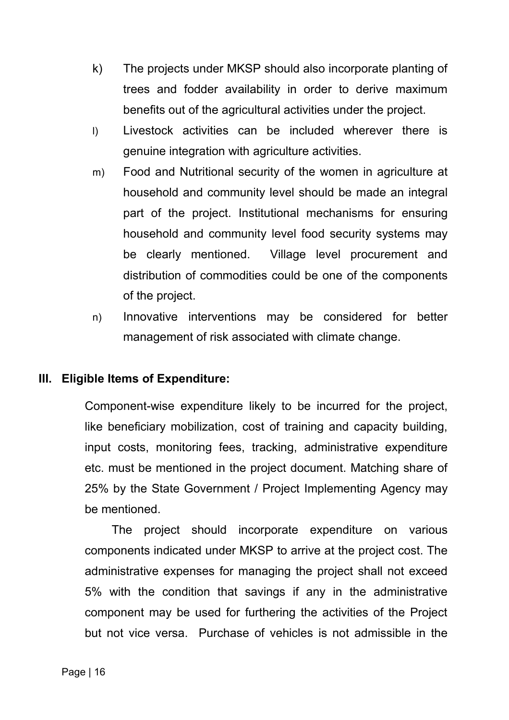- k) The projects under MKSP should also incorporate planting of trees and fodder availability in order to derive maximum benefits out of the agricultural activities under the project.
- l) Livestock activities can be included wherever there is genuine integration with agriculture activities.
- m) Food and Nutritional security of the women in agriculture at household and community level should be made an integral part of the project. Institutional mechanisms for ensuring household and community level food security systems may be clearly mentioned. Village level procurement and distribution of commodities could be one of the components of the project.
- n) Innovative interventions may be considered for better management of risk associated with climate change.

#### **III. Eligible Items of Expenditure:**

Component-wise expenditure likely to be incurred for the project, like beneficiary mobilization, cost of training and capacity building, input costs, monitoring fees, tracking, administrative expenditure etc. must be mentioned in the project document. Matching share of 25% by the State Government / Project Implementing Agency may be mentioned.

The project should incorporate expenditure on various components indicated under MKSP to arrive at the project cost. The administrative expenses for managing the project shall not exceed 5% with the condition that savings if any in the administrative component may be used for furthering the activities of the Project but not vice versa. Purchase of vehicles is not admissible in the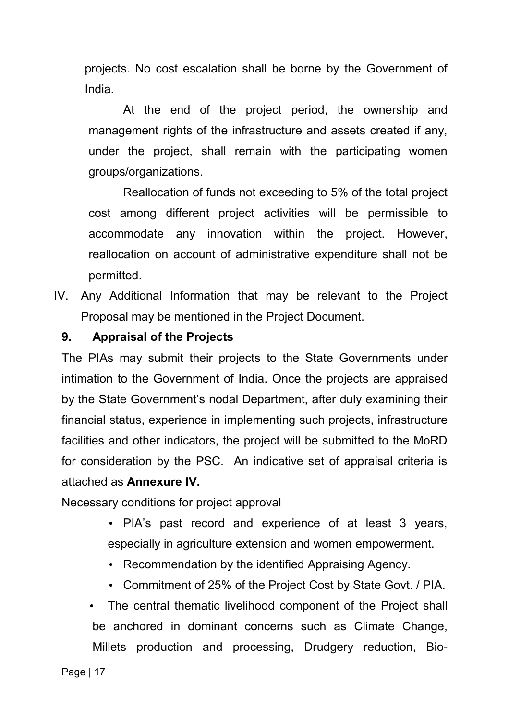projects. No cost escalation shall be borne by the Government of India.

At the end of the project period, the ownership and management rights of the infrastructure and assets created if any, under the project, shall remain with the participating women groups/organizations.

Reallocation of funds not exceeding to 5% of the total project cost among different project activities will be permissible to accommodate any innovation within the project. However, reallocation on account of administrative expenditure shall not be permitted.

IV. Any Additional Information that may be relevant to the Project Proposal may be mentioned in the Project Document.

#### **9. Appraisal of the Projects**

The PIAs may submit their projects to the State Governments under intimation to the Government of India. Once the projects are appraised by the State Government's nodal Department, after duly examining their financial status, experience in implementing such projects, infrastructure facilities and other indicators, the project will be submitted to the MoRD for consideration by the PSC. An indicative set of appraisal criteria is attached as **Annexure IV.**

Necessary conditions for project approval

- PIA's past record and experience of at least 3 years, especially in agriculture extension and women empowerment.
- Recommendation by the identified Appraising Agency.
- Commitment of 25% of the Project Cost by State Govt. / PIA.
- The central thematic livelihood component of the Project shall be anchored in dominant concerns such as Climate Change, Millets production and processing, Drudgery reduction, Bio-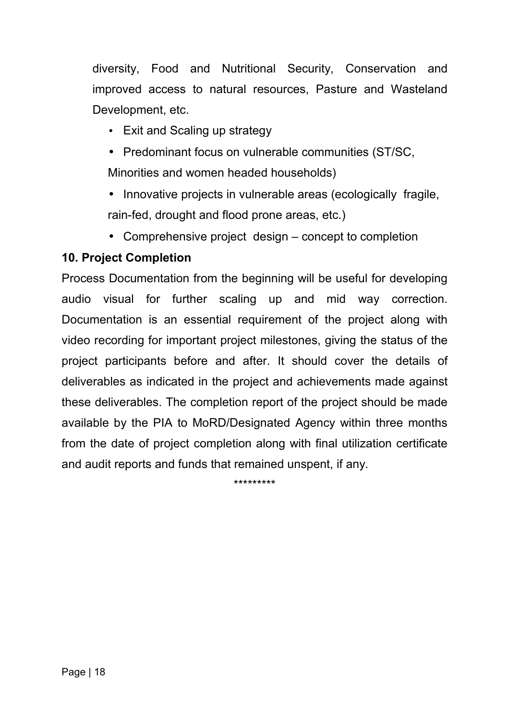diversity, Food and Nutritional Security, Conservation and improved access to natural resources, Pasture and Wasteland Development, etc.

- Exit and Scaling up strategy
- Predominant focus on vulnerable communities (ST/SC, Minorities and women headed households)
- Innovative projects in vulnerable areas (ecologically fragile, rain-fed, drought and flood prone areas, etc.)
- Comprehensive project design concept to completion

## **10. Project Completion**

Process Documentation from the beginning will be useful for developing audio visual for further scaling up and mid way correction. Documentation is an essential requirement of the project along with video recording for important project milestones, giving the status of the project participants before and after. It should cover the details of deliverables as indicated in the project and achievements made against these deliverables. The completion report of the project should be made available by the PIA to MoRD/Designated Agency within three months from the date of project completion along with final utilization certificate and audit reports and funds that remained unspent, if any.

\*\*\*\*\*\*\*\*\*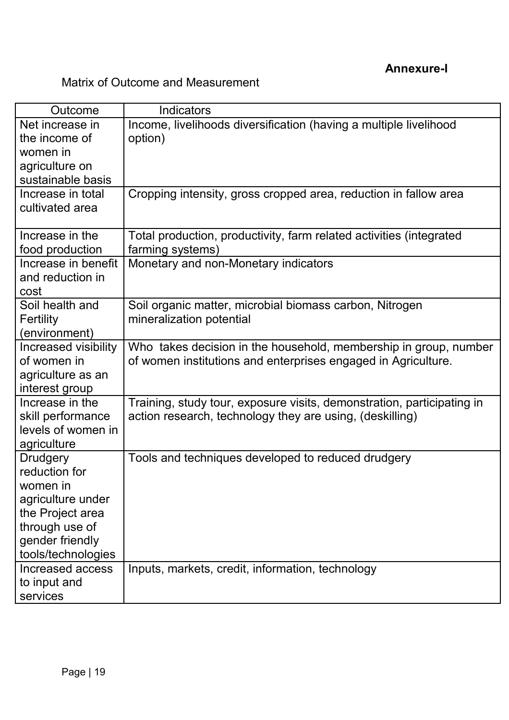# Matrix of Outcome and Measurement

| Outcome                             | <b>Indicators</b>                                                                                                                 |
|-------------------------------------|-----------------------------------------------------------------------------------------------------------------------------------|
| Net increase in                     | Income, livelihoods diversification (having a multiple livelihood                                                                 |
| the income of                       | option)                                                                                                                           |
| women in                            |                                                                                                                                   |
| agriculture on                      |                                                                                                                                   |
| sustainable basis                   |                                                                                                                                   |
| Increase in total                   | Cropping intensity, gross cropped area, reduction in fallow area                                                                  |
| cultivated area                     |                                                                                                                                   |
| Increase in the                     | Total production, productivity, farm related activities (integrated                                                               |
| food production                     | farming systems)                                                                                                                  |
| Increase in benefit                 | Monetary and non-Monetary indicators                                                                                              |
| and reduction in                    |                                                                                                                                   |
| cost                                |                                                                                                                                   |
| Soil health and                     | Soil organic matter, microbial biomass carbon, Nitrogen                                                                           |
| Fertility                           | mineralization potential                                                                                                          |
| (environment)                       |                                                                                                                                   |
| Increased visibility<br>of women in | Who takes decision in the household, membership in group, number<br>of women institutions and enterprises engaged in Agriculture. |
| agriculture as an                   |                                                                                                                                   |
| interest group                      |                                                                                                                                   |
| Increase in the                     | Training, study tour, exposure visits, demonstration, participating in                                                            |
| skill performance                   | action research, technology they are using, (deskilling)                                                                          |
| levels of women in                  |                                                                                                                                   |
| agriculture                         |                                                                                                                                   |
| <b>Drudgery</b>                     | Tools and techniques developed to reduced drudgery                                                                                |
| reduction for                       |                                                                                                                                   |
| women in                            |                                                                                                                                   |
| agriculture under                   |                                                                                                                                   |
| the Project area                    |                                                                                                                                   |
| through use of                      |                                                                                                                                   |
| gender friendly                     |                                                                                                                                   |
| tools/technologies                  |                                                                                                                                   |
| Increased access                    | Inputs, markets, credit, information, technology                                                                                  |
| to input and                        |                                                                                                                                   |
| services                            |                                                                                                                                   |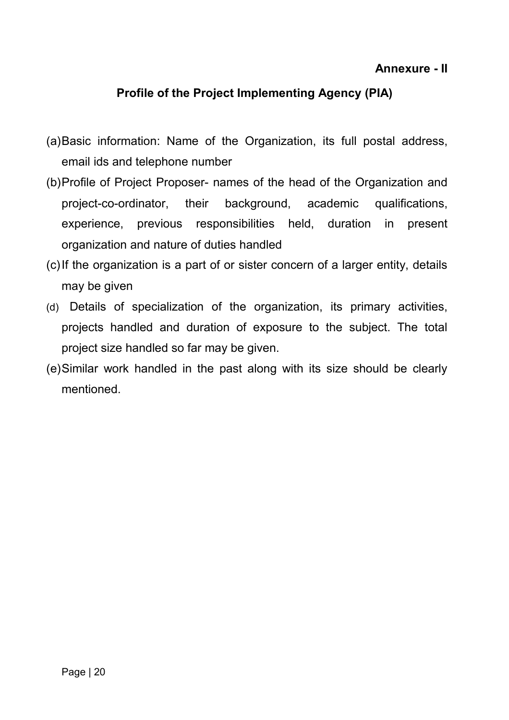#### **Annexure - II**

#### **Profile of the Project Implementing Agency (PIA)**

- (a)Basic information: Name of the Organization, its full postal address, email ids and telephone number
- (b)Profile of Project Proposer- names of the head of the Organization and project-co-ordinator, their background, academic qualifications, experience, previous responsibilities held, duration in present organization and nature of duties handled
- (c)If the organization is a part of or sister concern of a larger entity, details may be given
- (d) Details of specialization of the organization, its primary activities, projects handled and duration of exposure to the subject. The total project size handled so far may be given.
- (e)Similar work handled in the past along with its size should be clearly mentioned.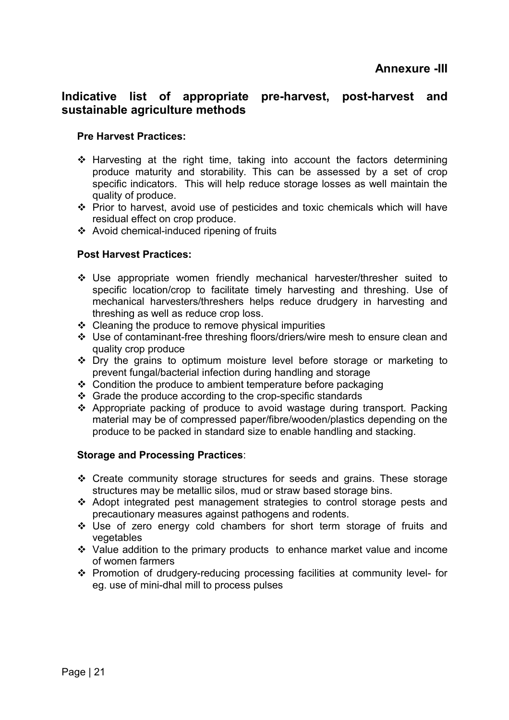#### **Indicative list of appropriate pre-harvest, post-harvest and sustainable agriculture methods**

#### **Pre Harvest Practices:**

- $\div$  Harvesting at the right time, taking into account the factors determining produce maturity and storability. This can be assessed by a set of crop specific indicators. This will help reduce storage losses as well maintain the quality of produce.
- Prior to harvest, avoid use of pesticides and toxic chemicals which will have residual effect on crop produce.
- Avoid chemical-induced ripening of fruits

#### **Post Harvest Practices:**

- Use appropriate women friendly mechanical harvester/thresher suited to specific location/crop to facilitate timely harvesting and threshing. Use of mechanical harvesters/threshers helps reduce drudgery in harvesting and threshing as well as reduce crop loss.
- $\triangleleft$  Cleaning the produce to remove physical impurities
- Use of contaminant-free threshing floors/driers/wire mesh to ensure clean and quality crop produce
- $\div$  Dry the grains to optimum moisture level before storage or marketing to prevent fungal/bacterial infection during handling and storage
- ❖ Condition the produce to ambient temperature before packaging
- $\div$  Grade the produce according to the crop-specific standards
- Appropriate packing of produce to avoid wastage during transport. Packing material may be of compressed paper/fibre/wooden/plastics depending on the produce to be packed in standard size to enable handling and stacking.

#### **Storage and Processing Practices**:

- Create community storage structures for seeds and grains. These storage structures may be metallic silos, mud or straw based storage bins.
- Adopt integrated pest management strategies to control storage pests and precautionary measures against pathogens and rodents.
- \* Use of zero energy cold chambers for short term storage of fruits and vegetables
- $\div$  Value addition to the primary products to enhance market value and income of women farmers
- Promotion of drudgery-reducing processing facilities at community level- for eg. use of mini-dhal mill to process pulses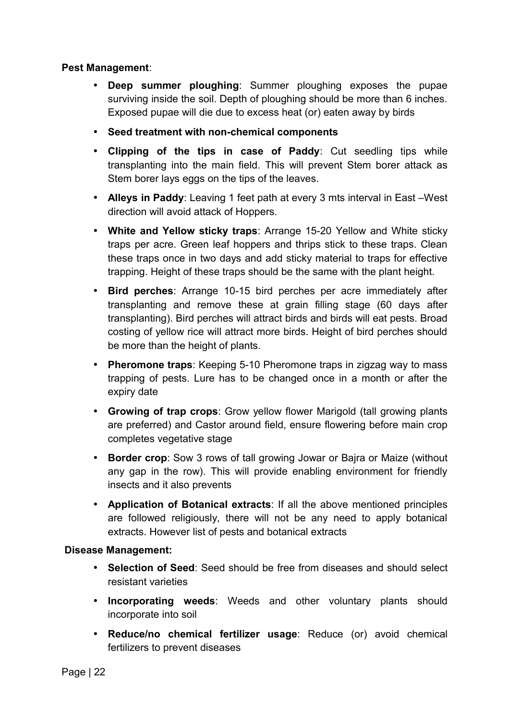#### **Pest Management**:

- **Deep summer ploughing**: Summer ploughing exposes the pupae surviving inside the soil. Depth of ploughing should be more than 6 inches. Exposed pupae will die due to excess heat (or) eaten away by birds
- **Seed treatment with non-chemical components**
- **Clipping of the tips in case of Paddy**: Cut seedling tips while transplanting into the main field. This will prevent Stem borer attack as Stem borer lays eggs on the tips of the leaves.
- **Alleys in Paddy**: Leaving 1 feet path at every 3 mts interval in East –West direction will avoid attack of Hoppers.
- **White and Yellow sticky traps**: Arrange 15-20 Yellow and White sticky traps per acre. Green leaf hoppers and thrips stick to these traps. Clean these traps once in two days and add sticky material to traps for effective trapping. Height of these traps should be the same with the plant height.
- **Bird perches**: Arrange 10-15 bird perches per acre immediately after transplanting and remove these at grain filling stage (60 days after transplanting). Bird perches will attract birds and birds will eat pests. Broad costing of yellow rice will attract more birds. Height of bird perches should be more than the height of plants.
- **Pheromone traps:** Keeping 5-10 Pheromone traps in zigzag way to mass trapping of pests. Lure has to be changed once in a month or after the expiry date
- **Growing of trap crops**: Grow yellow flower Marigold (tall growing plants are preferred) and Castor around field, ensure flowering before main crop completes vegetative stage
- **Border crop**: Sow 3 rows of tall growing Jowar or Bajra or Maize (without any gap in the row). This will provide enabling environment for friendly insects and it also prevents
- **Application of Botanical extracts**: If all the above mentioned principles are followed religiously, there will not be any need to apply botanical extracts. However list of pests and botanical extracts

#### **Disease Management:**

- **Selection of Seed**: Seed should be free from diseases and should select resistant varieties
- **Incorporating weeds**: Weeds and other voluntary plants should incorporate into soil
- **Reduce/no chemical fertilizer usage**: Reduce (or) avoid chemical fertilizers to prevent diseases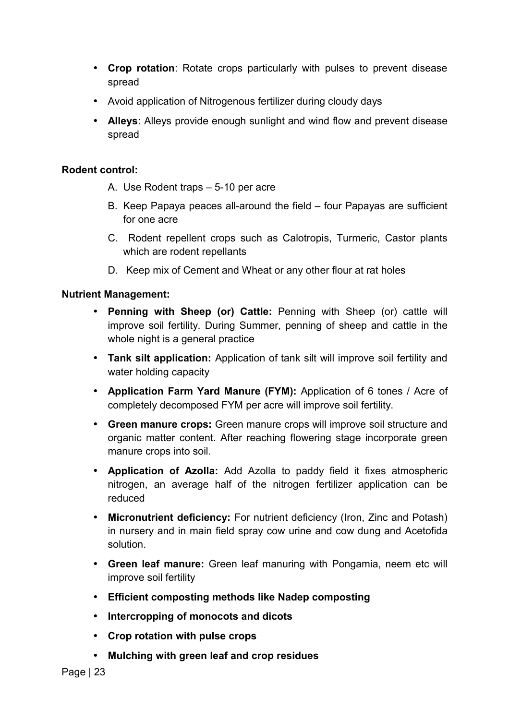- **Crop rotation**: Rotate crops particularly with pulses to prevent disease spread
- Avoid application of Nitrogenous fertilizer during cloudy days
- **Alleys**: Alleys provide enough sunlight and wind flow and prevent disease spread

#### **Rodent control:**

- A. Use Rodent traps 5-10 per acre
- B. Keep Papaya peaces all-around the field four Papayas are sufficient for one acre
- C. Rodent repellent crops such as Calotropis, Turmeric, Castor plants which are rodent repellants
- D. Keep mix of Cement and Wheat or any other flour at rat holes

#### **Nutrient Management:**

- **Penning with Sheep (or) Cattle:** Penning with Sheep (or) cattle will improve soil fertility. During Summer, penning of sheep and cattle in the whole night is a general practice
- **Tank silt application:** Application of tank silt will improve soil fertility and water holding capacity
- **Application Farm Yard Manure (FYM):** Application of 6 tones / Acre of completely decomposed FYM per acre will improve soil fertility.
- **Green manure crops:** Green manure crops will improve soil structure and organic matter content. After reaching flowering stage incorporate green manure crops into soil.
- **Application of Azolla:** Add Azolla to paddy field it fixes atmospheric nitrogen, an average half of the nitrogen fertilizer application can be reduced
- **Micronutrient deficiency:** For nutrient deficiency (Iron, Zinc and Potash) in nursery and in main field spray cow urine and cow dung and Acetofida solution.
- **Green leaf manure:** Green leaf manuring with Pongamia, neem etc will improve soil fertility
- **Efficient composting methods like Nadep composting**
- **Intercropping of monocots and dicots**
- **Crop rotation with pulse crops**
- **Mulching with green leaf and crop residues**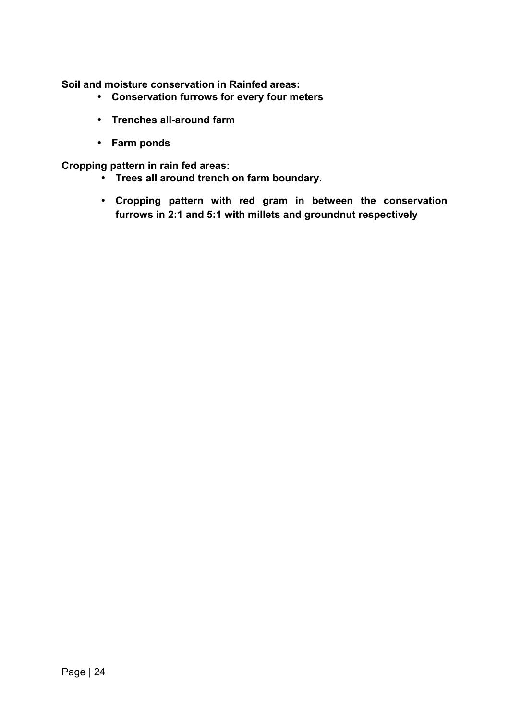**Soil and moisture conservation in Rainfed areas:** 

- **Conservation furrows for every four meters**
- **Trenches all-around farm**
- **Farm ponds**

**Cropping pattern in rain fed areas:** 

- **Trees all around trench on farm boundary.**
- **Cropping pattern with red gram in between the conservation furrows in 2:1 and 5:1 with millets and groundnut respectively**